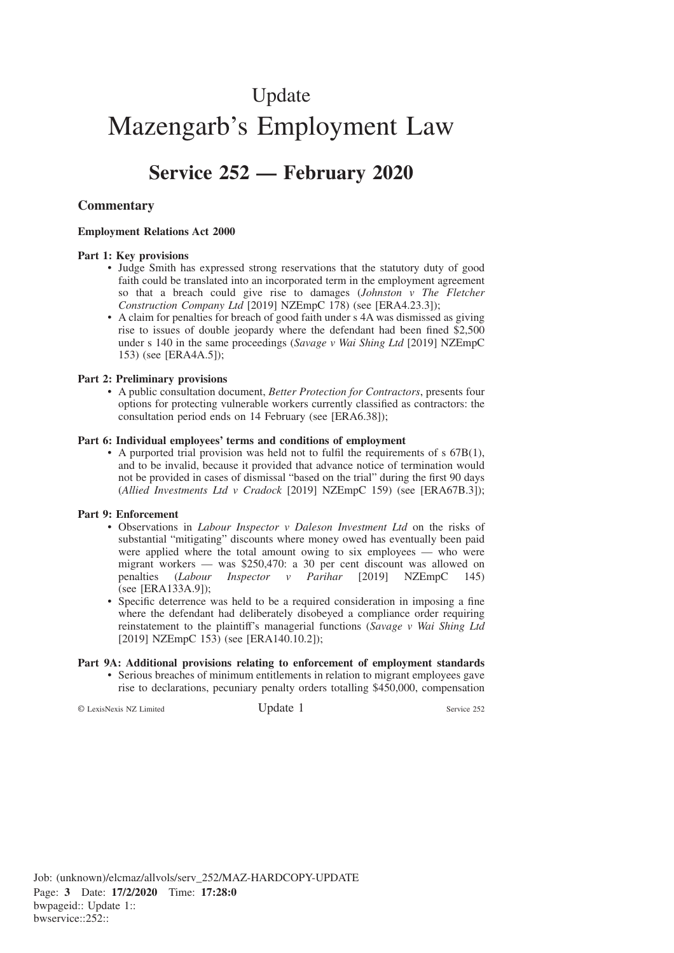# Update Mazengarb's Employment Law

# **Service 252 — February 2020**

## **Commentary**

#### **Employment Relations Act 2000**

#### **Part 1: Key provisions**

- Judge Smith has expressed strong reservations that the statutory duty of good faith could be translated into an incorporated term in the employment agreement so that a breach could give rise to damages (*Johnston v The Fletcher Construction Company Ltd* [2019] NZEmpC 178) (see [ERA4.23.3]);
- A claim for penalties for breach of good faith under s 4A was dismissed as giving rise to issues of double jeopardy where the defendant had been fined \$2,500 under s 140 in the same proceedings (*Savage v Wai Shing Ltd* [2019] NZEmpC 153) (see [ERA4A.5]);

#### **Part 2: Preliminary provisions**

• A public consultation document, *Better Protection for Contractors*, presents four options for protecting vulnerable workers currently classified as contractors: the consultation period ends on 14 February (see [ERA6.38]);

#### **Part 6: Individual employees' terms and conditions of employment**

• A purported trial provision was held not to fulfil the requirements of s 67B(1), and to be invalid, because it provided that advance notice of termination would not be provided in cases of dismissal "based on the trial" during the first 90 days (*Allied Investments Ltd v Cradock* [2019] NZEmpC 159) (see [ERA67B.3]);

#### **Part 9: Enforcement**

- Observations in *Labour Inspector v Daleson Investment Ltd* on the risks of substantial "mitigating" discounts where money owed has eventually been paid were applied where the total amount owing to six employees — who were migrant workers — was \$250,470: a 30 per cent discount was allowed on penalties (*Labour Inspector v Parihar* [2019] NZEmpC 145) (see [ERA133A.9]);
- Specific deterrence was held to be a required consideration in imposing a fine where the defendant had deliberately disobeyed a compliance order requiring reinstatement to the plaintiff's managerial functions (*Savage v Wai Shing Ltd* [2019] NZEmpC 153) (see [ERA140.10.2]);

#### **Part 9A: Additional provisions relating to enforcement of employment standards**

• Serious breaches of minimum entitlements in relation to migrant employees gave rise to declarations, pecuniary penalty orders totalling \$450,000, compensation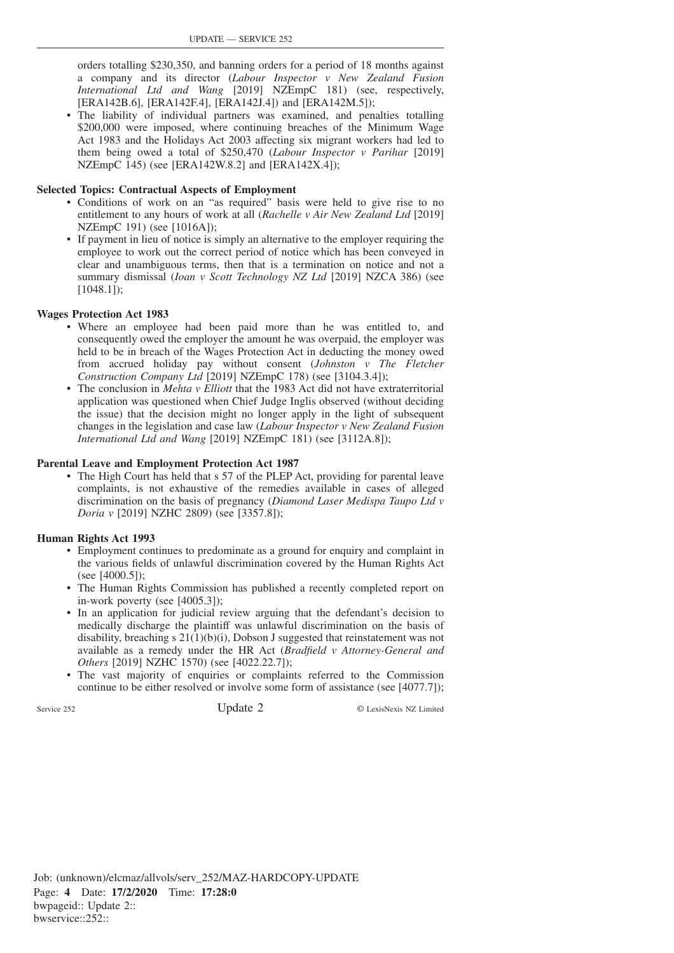orders totalling \$230,350, and banning orders for a period of 18 months against a company and its director (*Labour Inspector v New Zealand Fusion International Ltd and Wang* [2019] NZEmpC 181) (see, respectively, [ERA142B.6], [ERA142F.4], [ERA142J.4]) and [ERA142M.5]);

• The liability of individual partners was examined, and penalties totalling \$200,000 were imposed, where continuing breaches of the Minimum Wage Act 1983 and the Holidays Act 2003 affecting six migrant workers had led to them being owed a total of \$250,470 (*Labour Inspector v Parihar* [2019] NZEmpC 145) (see [ERA142W.8.2] and [ERA142X.4]);

#### **Selected Topics: Contractual Aspects of Employment**

- Conditions of work on an "as required" basis were held to give rise to no entitlement to any hours of work at all (*Rachelle v Air New Zealand Ltd* [2019] NZEmpC 191) (see [1016A]);
- If payment in lieu of notice is simply an alternative to the employer requiring the employee to work out the correct period of notice which has been conveyed in clear and unambiguous terms, then that is a termination on notice and not a summary dismissal (*Ioan v Scott Technology NZ Ltd* [2019] NZCA 386) (see  $[1048.1]$ ;

#### **Wages Protection Act 1983**

- Where an employee had been paid more than he was entitled to, and consequently owed the employer the amount he was overpaid, the employer was held to be in breach of the Wages Protection Act in deducting the money owed from accrued holiday pay without consent (*Johnston v The Fletcher Construction Company Ltd* [2019] NZEmpC 178) (see [3104.3.4]);
- The conclusion in *Mehta v Elliott* that the 1983 Act did not have extraterritorial application was questioned when Chief Judge Inglis observed (without deciding the issue) that the decision might no longer apply in the light of subsequent changes in the legislation and case law (*Labour Inspector v New Zealand Fusion International Ltd and Wang* [2019] NZEmpC 181) (see [3112A.8]);

#### **Parental Leave and Employment Protection Act 1987**

• The High Court has held that s 57 of the PLEP Act, providing for parental leave complaints, is not exhaustive of the remedies available in cases of alleged discrimination on the basis of pregnancy (*Diamond Laser Medispa Taupo Ltd v Doria v* [2019] NZHC 2809) (see [3357.8]);

#### **Human Rights Act 1993**

- Employment continues to predominate as a ground for enquiry and complaint in the various fields of unlawful discrimination covered by the Human Rights Act (see [4000.5]);
- The Human Rights Commission has published a recently completed report on in-work poverty (see [4005.3]);
- In an application for judicial review arguing that the defendant's decision to medically discharge the plaintiff was unlawful discrimination on the basis of disability, breaching s  $21(1)(b)(i)$ , Dobson J suggested that reinstatement was not available as a remedy under the HR Act (*Bradfield v Attorney-General and Others* [2019] NZHC 1570) (see [4022.22.7]);
- The vast majority of enquiries or complaints referred to the Commission continue to be either resolved or involve some form of assistance (see [4077.7]);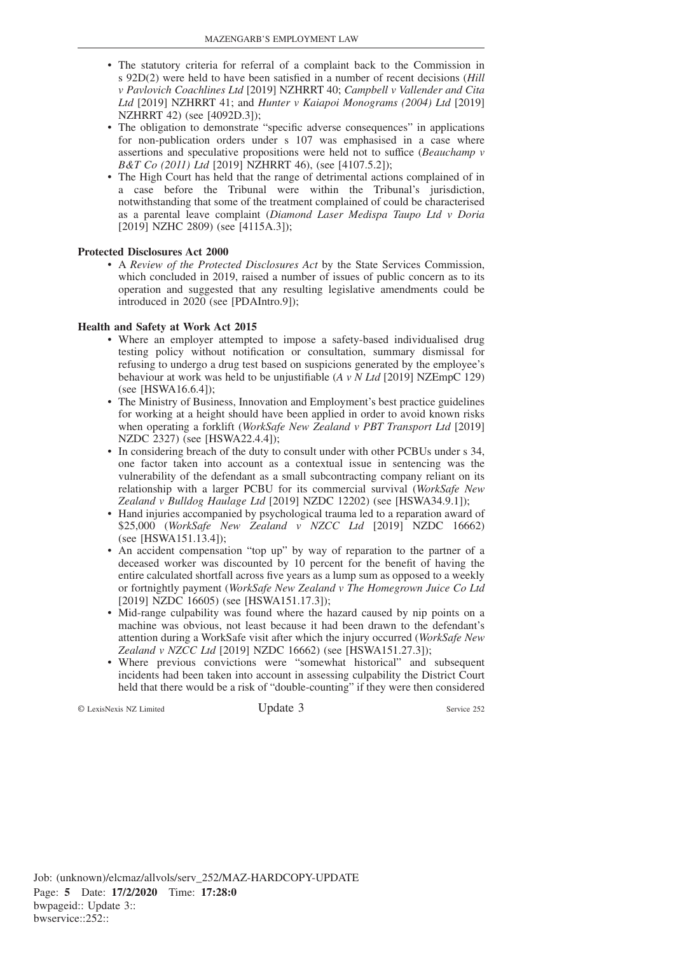- The statutory criteria for referral of a complaint back to the Commission in s 92D(2) were held to have been satisfied in a number of recent decisions (*Hill v Pavlovich Coachlines Ltd* [2019] NZHRRT 40; *Campbell v Vallender and Cita Ltd* [2019] NZHRRT 41; and *Hunter v Kaiapoi Monograms (2004) Ltd* [2019] NZHRRT 42) (see [4092D.3]);
- The obligation to demonstrate "specific adverse consequences" in applications for non-publication orders under s 107 was emphasised in a case where assertions and speculative propositions were held not to suffice (*Beauchamp v B&T Co (2011) Ltd* [2019] NZHRRT 46), (see [4107.5.2]);
- The High Court has held that the range of detrimental actions complained of in a case before the Tribunal were within the Tribunal's jurisdiction, notwithstanding that some of the treatment complained of could be characterised as a parental leave complaint (*Diamond Laser Medispa Taupo Ltd v Doria* [2019] NZHC 2809) (see [4115A.3]);

#### **Protected Disclosures Act 2000**

• A *Review of the Protected Disclosures Act* by the State Services Commission, which concluded in 2019, raised a number of issues of public concern as to its operation and suggested that any resulting legislative amendments could be introduced in 2020 (see [PDAIntro.9]);

#### **Health and Safety at Work Act 2015**

- Where an employer attempted to impose a safety-based individualised drug testing policy without notification or consultation, summary dismissal for refusing to undergo a drug test based on suspicions generated by the employee's behaviour at work was held to be unjustifiable (*A v N Ltd* [2019] NZEmpC 129) (see [HSWA16.6.4]);
- The Ministry of Business, Innovation and Employment's best practice guidelines for working at a height should have been applied in order to avoid known risks when operating a forklift (*WorkSafe New Zealand v PBT Transport Ltd* [2019] NZDC 2327) (see [HSWA22.4.4]);
- In considering breach of the duty to consult under with other PCBUs under s 34, one factor taken into account as a contextual issue in sentencing was the vulnerability of the defendant as a small subcontracting company reliant on its relationship with a larger PCBU for its commercial survival (*WorkSafe New Zealand v Bulldog Haulage Ltd* [2019] NZDC 12202) (see [HSWA34.9.1]);
- Hand injuries accompanied by psychological trauma led to a reparation award of \$25,000 (*WorkSafe New Zealand v NZCC Ltd* [2019] NZDC 16662) (see [HSWA151.13.4]);
- An accident compensation "top up" by way of reparation to the partner of a deceased worker was discounted by 10 percent for the benefit of having the entire calculated shortfall across five years as a lump sum as opposed to a weekly or fortnightly payment (*WorkSafe New Zealand v The Homegrown Juice Co Ltd* [2019] NZDC 16605) (see [HSWA151.17.3]);
- Mid-range culpability was found where the hazard caused by nip points on a machine was obvious, not least because it had been drawn to the defendant's attention during a WorkSafe visit after which the injury occurred (*WorkSafe New Zealand v NZCC Ltd* [2019] NZDC 16662) (see [HSWA151.27.3]);
- Where previous convictions were "somewhat historical" and subsequent incidents had been taken into account in assessing culpability the District Court held that there would be a risk of "double-counting" if they were then considered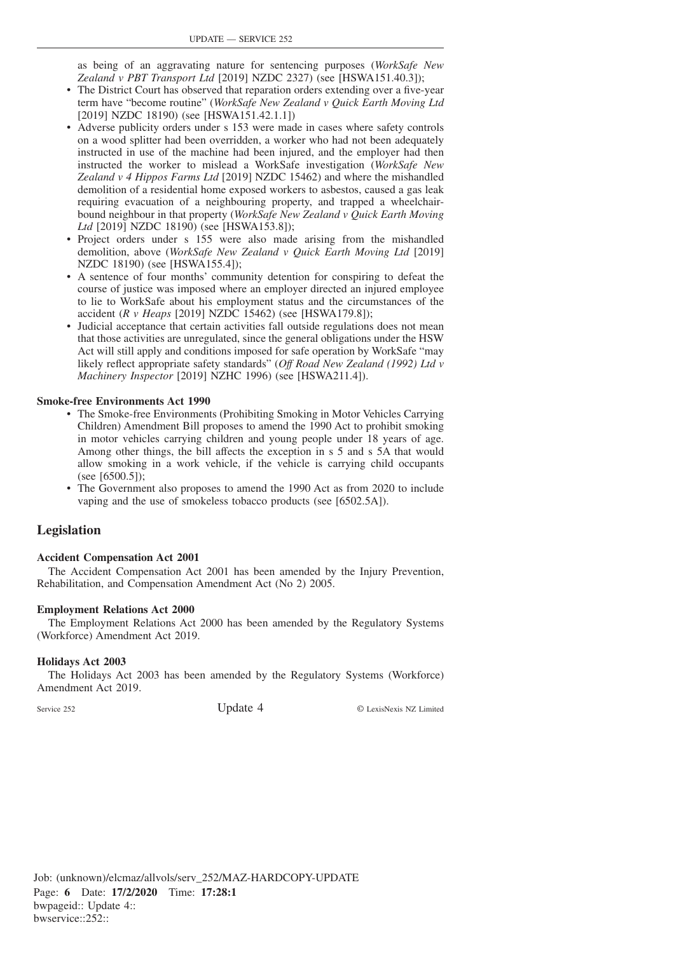as being of an aggravating nature for sentencing purposes (*WorkSafe New Zealand v PBT Transport Ltd* [2019] NZDC 2327) (see [HSWA151.40.3]);

- The District Court has observed that reparation orders extending over a five-year term have "become routine" (*WorkSafe New Zealand v Quick Earth Moving Ltd* [2019] NZDC 18190) (see [HSWA151.42.1.1])
- Adverse publicity orders under s 153 were made in cases where safety controls on a wood splitter had been overridden, a worker who had not been adequately instructed in use of the machine had been injured, and the employer had then instructed the worker to mislead a WorkSafe investigation (*WorkSafe New Zealand v 4 Hippos Farms Ltd* [2019] NZDC 15462) and where the mishandled demolition of a residential home exposed workers to asbestos, caused a gas leak requiring evacuation of a neighbouring property, and trapped a wheelchairbound neighbour in that property (*WorkSafe New Zealand v Quick Earth Moving Ltd* [2019] NZDC 18190) (see [HSWA153.8]);
- Project orders under s 155 were also made arising from the mishandled demolition, above (*WorkSafe New Zealand v Quick Earth Moving Ltd* [2019] NZDC 18190) (see [HSWA155.4]);
- A sentence of four months' community detention for conspiring to defeat the course of justice was imposed where an employer directed an injured employee to lie to WorkSafe about his employment status and the circumstances of the accident (*R v Heaps* [2019] NZDC 15462) (see [HSWA179.8]);
- Judicial acceptance that certain activities fall outside regulations does not mean that those activities are unregulated, since the general obligations under the HSW Act will still apply and conditions imposed for safe operation by WorkSafe "may likely reflect appropriate safety standards" (*Off Road New Zealand (1992) Ltd v Machinery Inspector* [2019] NZHC 1996) (see [HSWA211.4]).

#### **Smoke-free Environments Act 1990**

- The Smoke-free Environments (Prohibiting Smoking in Motor Vehicles Carrying Children) Amendment Bill proposes to amend the 1990 Act to prohibit smoking in motor vehicles carrying children and young people under 18 years of age. Among other things, the bill affects the exception in s 5 and s 5A that would allow smoking in a work vehicle, if the vehicle is carrying child occupants (see [6500.5]);
- The Government also proposes to amend the 1990 Act as from 2020 to include vaping and the use of smokeless tobacco products (see [6502.5A]).

### **Legislation**

#### **Accident Compensation Act 2001**

The Accident Compensation Act 2001 has been amended by the Injury Prevention, Rehabilitation, and Compensation Amendment Act (No 2) 2005.

#### **Employment Relations Act 2000**

The Employment Relations Act 2000 has been amended by the Regulatory Systems (Workforce) Amendment Act 2019.

#### **Holidays Act 2003**

The Holidays Act 2003 has been amended by the Regulatory Systems (Workforce) Amendment Act 2019.